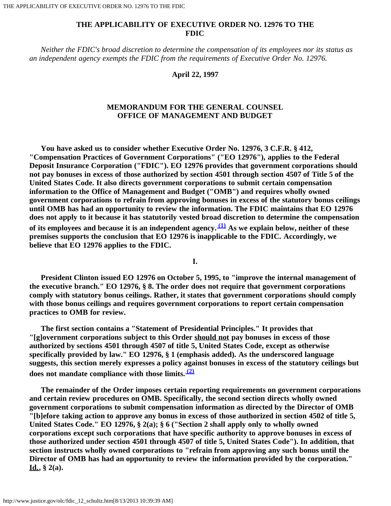## **THE APPLICABILITY OF EXECUTIVE ORDER NO. 12976 TO THE FDIC**

 *Neither the FDIC's broad discretion to determine the compensation of its employees nor its status as an independent agency exempts the FDIC from the requirements of Executive Order No. 12976.*

## **April 22, 1997**

## **MEMORANDUM FOR THE GENERAL COUNSEL OFFICE OF MANAGEMENT AND BUDGET**

 **You have asked us to consider whether Executive Order No. 12976, 3 C.F.R. § 412, "Compensation Practices of Government Corporations" ("EO 12976"), applies to the Federal Deposit Insurance Corporation ("FDIC"). EO 12976 provides that government corporations should not pay bonuses in excess of those authorized by section 4501 through section 4507 of Title 5 of the United States Code. It also directs government corporations to submit certain compensation information to the Office of Management and Budget ("OMB") and requires wholly owned government corporations to refrain from approving bonuses in excess of the statutory bonus ceilings until OMB has had an opportunity to review the information. The FDIC maintains that EO 12976 does not apply to it because it has statutorily vested broad discretion to determine the compensation of its employees and because it is an independent agency. [\(1\)](#page-2-0) As we explain below, neither of these premises supports the conclusion that EO 12976 is inapplicable to the FDIC. Accordingly, we believe that EO 12976 applies to the FDIC.**

**I.**

 **President Clinton issued EO 12976 on October 5, 1995, to "improve the internal management of the executive branch." EO 12976, § 8. The order does not require that government corporations comply with statutory bonus ceilings. Rather, it states that government corporations should comply with those bonus ceilings and requires government corporations to report certain compensation practices to OMB for review.**

 **The first section contains a "Statement of Presidential Principles." It provides that "[g]overnment corporations subject to this Order should not pay bonuses in excess of those authorized by sections 4501 through 4507 of title 5, United States Code, except as otherwise specifically provided by law." EO 12976, § 1 (emphasis added). As the underscored language suggests, this section merely expresses a policy against bonuses in excess of the statutory ceilings but does not mandate compliance with those limits. [\(2\)](#page-2-1)**

 **The remainder of the Order imposes certain reporting requirements on government corporations and certain review procedures on OMB. Specifically, the second section directs wholly owned government corporations to submit compensation information as directed by the Director of OMB "[b]efore taking action to approve any bonus in excess of those authorized in section 4502 of title 5, United States Code." EO 12976, § 2(a); § 6 ("Section 2 shall apply only to wholly owned corporations except such corporations that have specific authority to approve bonuses in excess of those authorized under section 4501 through 4507 of title 5, United States Code"). In addition, that section instructs wholly owned corporations to "refrain from approving any such bonus until the Director of OMB has had an opportunity to review the information provided by the corporation." Id., § 2(a).**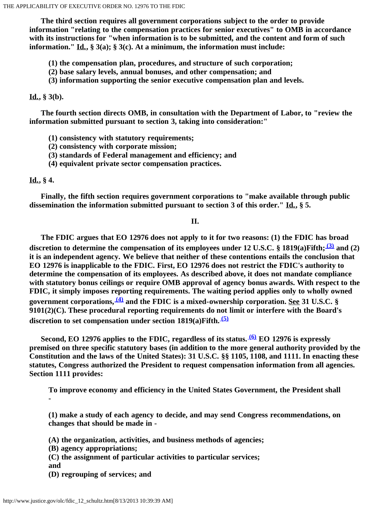**The third section requires all government corporations subject to the order to provide information "relating to the compensation practices for senior executives" to OMB in accordance with its instructions for "when information is to be submitted, and the content and form of such information." Id., § 3(a); § 3(c). At a minimum, the information must include:**

- **(1) the compensation plan, procedures, and structure of such corporation;**
- **(2) base salary levels, annual bonuses, and other compensation; and**
- **(3) information supporting the senior executive compensation plan and levels.**

**Id., § 3(b).**

 **The fourth section directs OMB, in consultation with the Department of Labor, to "review the information submitted pursuant to section 3, taking into consideration:"**

- **(1) consistency with statutory requirements;**
- **(2) consistency with corporate mission;**
- **(3) standards of Federal management and efficiency; and**
- **(4) equivalent private sector compensation practices.**

## **Id., § 4.**

 **Finally, the fifth section requires government corporations to "make available through public dissemination the information submitted pursuant to section 3 of this order." Id., § 5.**

**II.**

 **The FDIC argues that EO 12976 does not apply to it for two reasons: (1) the FDIC has broad discretion to determine the compensation of its employees under 12 U.S.C. § 1819(a)Fifth; [\(3\)](#page-2-2) and (2) it is an independent agency. We believe that neither of these contentions entails the conclusion that EO 12976 is inapplicable to the FDIC. First, EO 12976 does not restrict the FDIC's authority to determine the compensation of its employees. As described above, it does not mandate compliance with statutory bonus ceilings or require OMB approval of agency bonus awards. With respect to the FDIC, it simply imposes reporting requirements. The waiting period applies only to wholly owned government corporations, [\(4\)](#page-3-0) and the FDIC is a mixed-ownership corporation. See 31 U.S.C. § 9101(2)(C). These procedural reporting requirements do not limit or interfere with the Board's discretion to set compensation under section 1819(a)Fifth. [\(5\)](#page-3-1)**

Second, EO 12976 applies to the FDIC, regardless of its status.<sup>**60**</sup> EO 12976 is expressly **premised on three specific statutory bases (in addition to the more general authority provided by the Constitution and the laws of the United States): 31 U.S.C. §§ 1105, 1108, and 1111. In enacting these statutes, Congress authorized the President to request compensation information from all agencies. Section 1111 provides:**

**To improve economy and efficiency in the United States Government, the President shall -**

**(1) make a study of each agency to decide, and may send Congress recommendations, on changes that should be made in -**

**(A) the organization, activities, and business methods of agencies;**

- **(B) agency appropriations;**
- **(C) the assignment of particular activities to particular services;**
- **and**
- **(D) regrouping of services; and**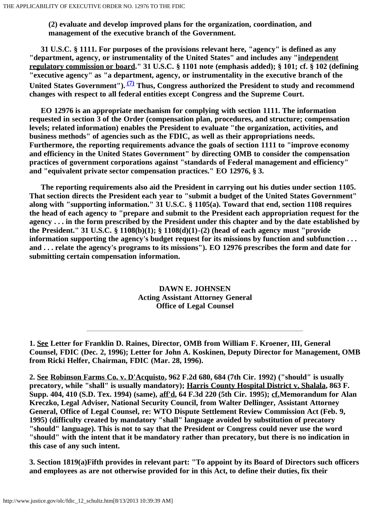**(2) evaluate and develop improved plans for the organization, coordination, and management of the executive branch of the Government.**

 **31 U.S.C. § 1111. For purposes of the provisions relevant here, "agency" is defined as any "department, agency, or instrumentality of the United States" and includes any "independent regulatory commission or board." 31 U.S.C. § 1101 note (emphasis added); § 101; cf. § 102 (defining "executive agency" as "a department, agency, or instrumentality in the executive branch of the United States Government"). [\(7\)](#page-3-3) Thus, Congress authorized the President to study and recommend changes with respect to all federal entities except Congress and the Supreme Court.**

 **EO 12976 is an appropriate mechanism for complying with section 1111. The information requested in section 3 of the Order (compensation plan, procedures, and structure; compensation levels; related information) enables the President to evaluate "the organization, activities, and business methods" of agencies such as the FDIC, as well as their appropriations needs. Furthermore, the reporting requirements advance the goals of section 1111 to "improve economy and efficiency in the United States Government" by directing OMB to consider the compensation practices of government corporations against "standards of Federal management and efficiency" and "equivalent private sector compensation practices." EO 12976, § 3.**

 **The reporting requirements also aid the President in carrying out his duties under section 1105. That section directs the President each year to "submit a budget of the United States Government" along with "supporting information." 31 U.S.C. § 1105(a). Toward that end, section 1108 requires the head of each agency to "prepare and submit to the President each appropriation request for the agency . . . in the form prescribed by the President under this chapter and by the date established by the President." 31 U.S.C. § 1108(b)(1); § 1108(d)(1)-(2) (head of each agency must "provide information supporting the agency's budget request for its missions by function and subfunction . . . and . . . relate the agency's programs to its missions"). EO 12976 prescribes the form and date for submitting certain compensation information.**

> **DAWN E. JOHNSEN Acting Assistant Attorney General Office of Legal Counsel**

<span id="page-2-1"></span>**2. See Robinson Farms Co. v. D'Acquisto, 962 F.2d 680, 684 (7th Cir. 1992) ("should" is usually precatory, while "shall" is usually mandatory); Harris County Hospital District v. Shalala, 863 F. Supp. 404, 410 (S.D. Tex. 1994) (same), aff'd, 64 F.3d 220 (5th Cir. 1995); cf.Memorandum for Alan Kreczko, Legal Adviser, National Security Council, from Walter Dellinger, Assistant Attorney General, Office of Legal Counsel, re: WTO Dispute Settlement Review Commission Act (Feb. 9, 1995) (difficulty created by mandatory "shall" language avoided by substitution of precatory "should" language). This is not to say that the President or Congress could never use the word "should" with the intent that it be mandatory rather than precatory, but there is no indication in this case of any such intent.**

<span id="page-2-2"></span>**3. Section 1819(a)Fifth provides in relevant part: "To appoint by its Board of Directors such officers and employees as are not otherwise provided for in this Act, to define their duties, fix their**

<span id="page-2-0"></span>**<sup>1.</sup> See Letter for Franklin D. Raines, Director, OMB from William F. Kroener, III, General Counsel, FDIC (Dec. 2, 1996); Letter for John A. Koskinen, Deputy Director for Management, OMB from Ricki Helfer, Chairman, FDIC (Mar. 28, 1996).**